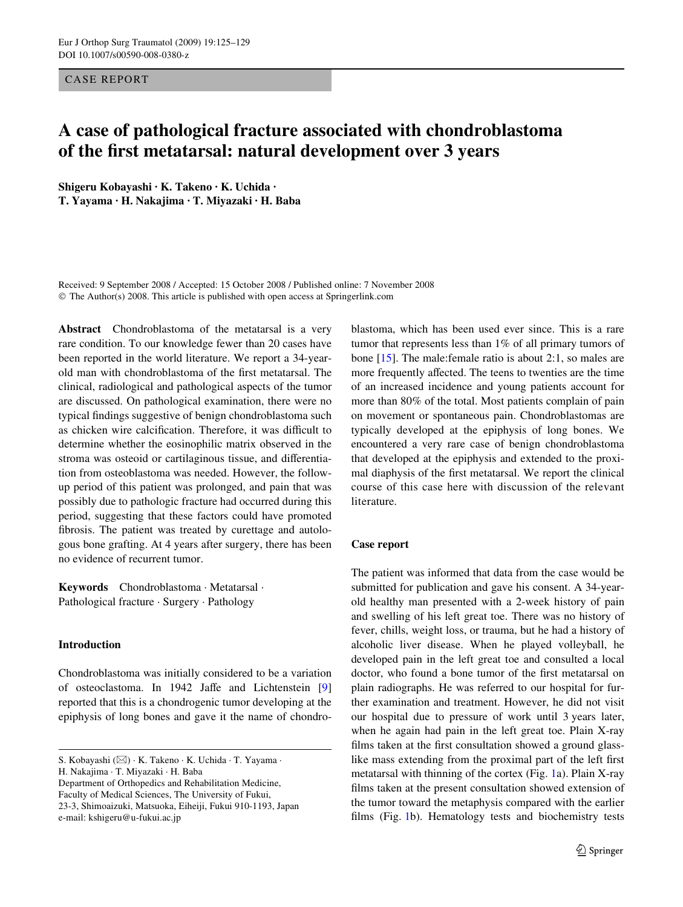CASE REPORT

# **A case of pathological fracture associated with chondroblastoma**  of the first metatarsal: natural development over 3 years

**Shigeru Kobayashi · K. Takeno · K. Uchida · T. Yayama · H. Nakajima · T. Miyazaki · H. Baba** 

Received: 9 September 2008 / Accepted: 15 October 2008 / Published online: 7 November 2008 © The Author(s) 2008. This article is published with open access at Springerlink.com

**Abstract** Chondroblastoma of the metatarsal is a very rare condition. To our knowledge fewer than 20 cases have been reported in the world literature. We report a 34-yearold man with chondroblastoma of the first metatarsal. The clinical, radiological and pathological aspects of the tumor are discussed. On pathological examination, there were no typical findings suggestive of benign chondroblastoma such as chicken wire calcification. Therefore, it was difficult to determine whether the eosinophilic matrix observed in the stroma was osteoid or cartilaginous tissue, and differentiation from osteoblastoma was needed. However, the followup period of this patient was prolonged, and pain that was possibly due to pathologic fracture had occurred during this period, suggesting that these factors could have promoted fibrosis. The patient was treated by curettage and autologous bone grafting. At 4 years after surgery, there has been no evidence of recurrent tumor.

**Keywords** Chondroblastoma · Metatarsal · Pathological fracture · Surgery · Pathology

## **Introduction**

Chondroblastoma was initially considered to be a variation of osteoclastoma. In 1942 Jaffe and Lichtenstein [[9\]](#page-4-0) reported that this is a chondrogenic tumor developing at the epiphysis of long bones and gave it the name of chondro-

H. Nakajima · T. Miyazaki · H. Baba

Department of Orthopedics and Rehabilitation Medicine, Faculty of Medical Sciences, The University of Fukui, 23-3, Shimoaizuki, Matsuoka, Eiheiji, Fukui 910-1193, Japan e-mail: kshigeru@u-fukui.ac.jp

blastoma, which has been used ever since. This is a rare tumor that represents less than 1% of all primary tumors of bone [[15\]](#page-4-1). The male:female ratio is about 2:1, so males are more frequently affected. The teens to twenties are the time of an increased incidence and young patients account for more than 80% of the total. Most patients complain of pain on movement or spontaneous pain. Chondroblastomas are typically developed at the epiphysis of long bones. We encountered a very rare case of benign chondroblastoma that developed at the epiphysis and extended to the proximal diaphysis of the first metatarsal. We report the clinical course of this case here with discussion of the relevant literature.

## **Case report**

The patient was informed that data from the case would be submitted for publication and gave his consent. A 34-yearold healthy man presented with a 2-week history of pain and swelling of his left great toe. There was no history of fever, chills, weight loss, or trauma, but he had a history of alcoholic liver disease. When he played volleyball, he developed pain in the left great toe and consulted a local doctor, who found a bone tumor of the first metatarsal on plain radiographs. He was referred to our hospital for further examination and treatment. However, he did not visit our hospital due to pressure of work until 3 years later, when he again had pain in the left great toe. Plain X-ray films taken at the first consultation showed a ground glasslike mass extending from the proximal part of the left first metatarsal with thinning of the cortex (Fig. [1](#page-1-0)a). Plain X-ray films taken at the present consultation showed extension of the tumor toward the metaphysis compared with the earlier films (Fig. [1b](#page-1-0)). Hematology tests and biochemistry tests

S. Kobayashi (&) · K. Takeno · K. Uchida · T. Yayama ·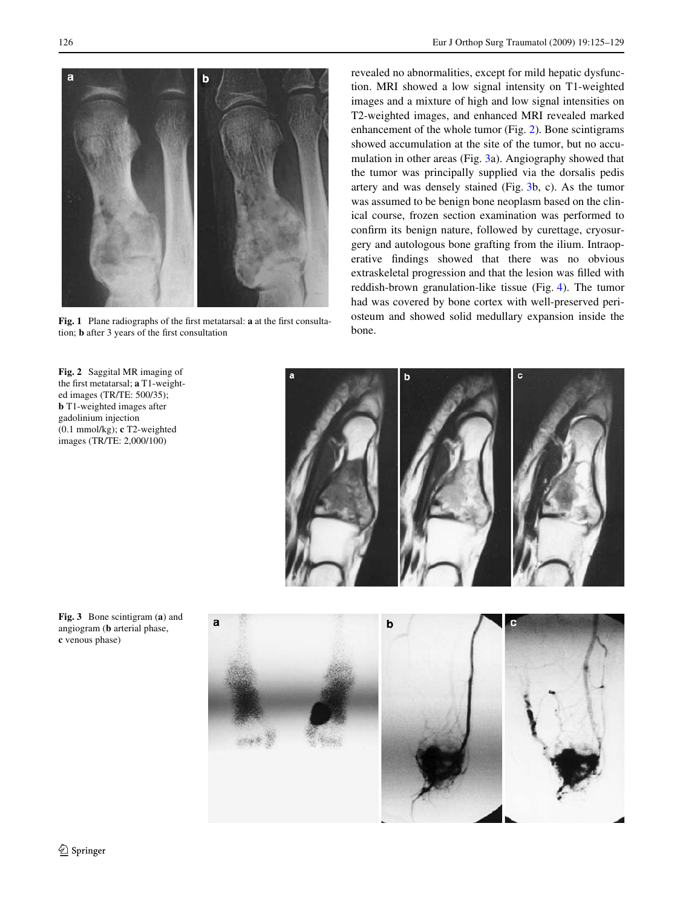

**Fig. 1** Plane radiographs of the first metatarsal: **a** at the first consultation batter 3 years of the first consultation tion; **b** after 3 years of the first consultation

<span id="page-1-1"></span><span id="page-1-0"></span>**Fig. 2** Saggital MR imaging of the first metatarsal; **a** T1-weighted images (TR/TE: 500/35); **b** T1-weighted images after gadolinium injection (0.1 mmol/kg); **c** T2-weighted images (TR/TE: 2,000/100)

revealed no abnormalities, except for mild hepatic dysfunction. MRI showed a low signal intensity on T1-weighted images and a mixture of high and low signal intensities on T2-weighted images, and enhanced MRI revealed marked enhancement of the whole tumor (Fig. [2](#page-1-1)). Bone scintigrams showed accumulation at the site of the tumor, but no accumulation in other areas (Fig. [3a](#page-1-2)). Angiography showed that the tumor was principally supplied via the dorsalis pedis artery and was densely stained (Fig. [3](#page-1-2)b, c). As the tumor was assumed to be benign bone neoplasm based on the clinical course, frozen section examination was performed to confirm its benign nature, followed by curettage, cryosurgery and autologous bone grafting from the ilium. Intraoperative findings showed that there was no obvious extraskeletal progression and that the lesion was filled with reddish-brown granulation-like tissue (Fig. [4\)](#page-2-0). The tumor had was covered by bone cortex with well-preserved periosteum and showed solid medullary expansion inside the



<span id="page-1-2"></span>**Fig. 3** Bone scintigram (**a**) and angiogram (**b** arterial phase, **c** venous phase)

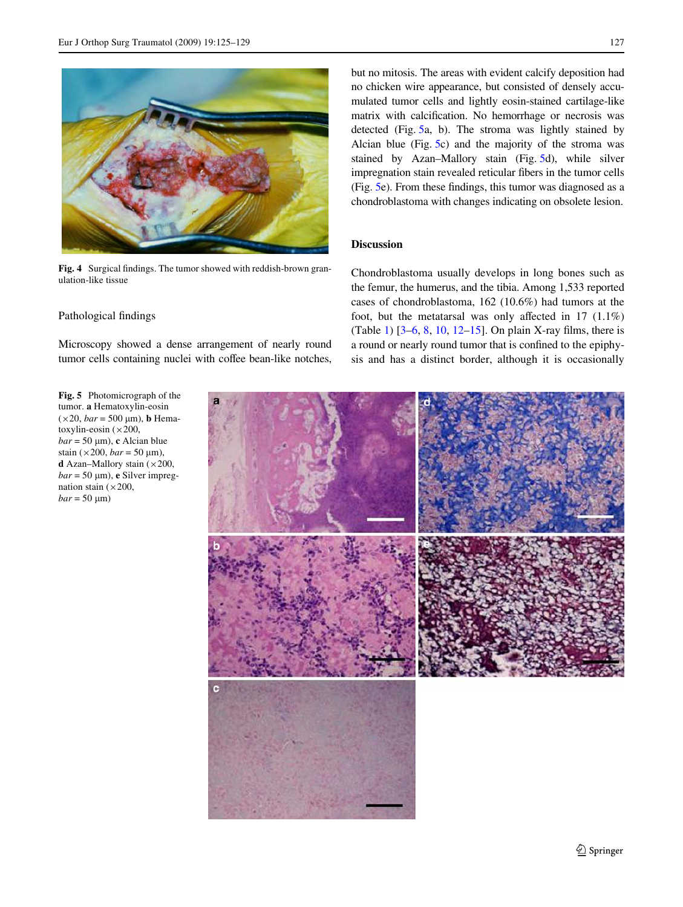

Fig. 4 Surgical findings. The tumor showed with reddish-brown granulation-like tissue

#### <span id="page-2-0"></span>Pathological findings

Microscopy showed a dense arrangement of nearly round tumor cells containing nuclei with coffee bean-like notches,

<span id="page-2-1"></span>**Fig. 5** Photomicrograph of the tumor. **a** Hematoxylin-eosin  $(\times 20, \text{bar} = 500 \text{ }\mu\text{m})$ , **b** Hematoxylin-eosin  $(\times 200,$  $bar = 50 \text{ }\mu\text{m}$ , **c** Alcian blue stain ( $\times$ 200, *bar* = 50 µm), **d** Azan–Mallory stain  $(\times 200,$  $bar = 50 \text{ }\mu\text{m}$ , **e** Silver impregnation stain ( $\times$ 200,  $bar = 50 \text{ }\mu\text{m}$ 

but no mitosis. The areas with evident calcify deposition had no chicken wire appearance, but consisted of densely accumulated tumor cells and lightly eosin-stained cartilage-like matrix with calcification. No hemorrhage or necrosis was detected (Fig. [5a](#page-2-1), b). The stroma was lightly stained by Alcian blue (Fig. [5](#page-2-1)c) and the majority of the stroma was stained by Azan–Mallory stain (Fig. [5](#page-2-1)d), while silver impregnation stain revealed reticular fibers in the tumor cells (Fig.  $5e$  $5e$ ). From these findings, this tumor was diagnosed as a chondroblastoma with changes indicating on obsolete lesion.

#### **Discussion**

Chondroblastoma usually develops in long bones such as the femur, the humerus, and the tibia. Among 1,533 reported cases of chondroblastoma, 162 (10.6%) had tumors at the foot, but the metatarsal was only affected in  $17$   $(1.1\%)$ (Table [1\)](#page-3-0)  $[3-6, 8, 10, 12-15]$  $[3-6, 8, 10, 12-15]$  $[3-6, 8, 10, 12-15]$  $[3-6, 8, 10, 12-15]$  $[3-6, 8, 10, 12-15]$  $[3-6, 8, 10, 12-15]$  $[3-6, 8, 10, 12-15]$  $[3-6, 8, 10, 12-15]$  $[3-6, 8, 10, 12-15]$  $[3-6, 8, 10, 12-15]$ . On plain X-ray films, there is a round or nearly round tumor that is confined to the epiphysis and has a distinct border, although it is occasionally

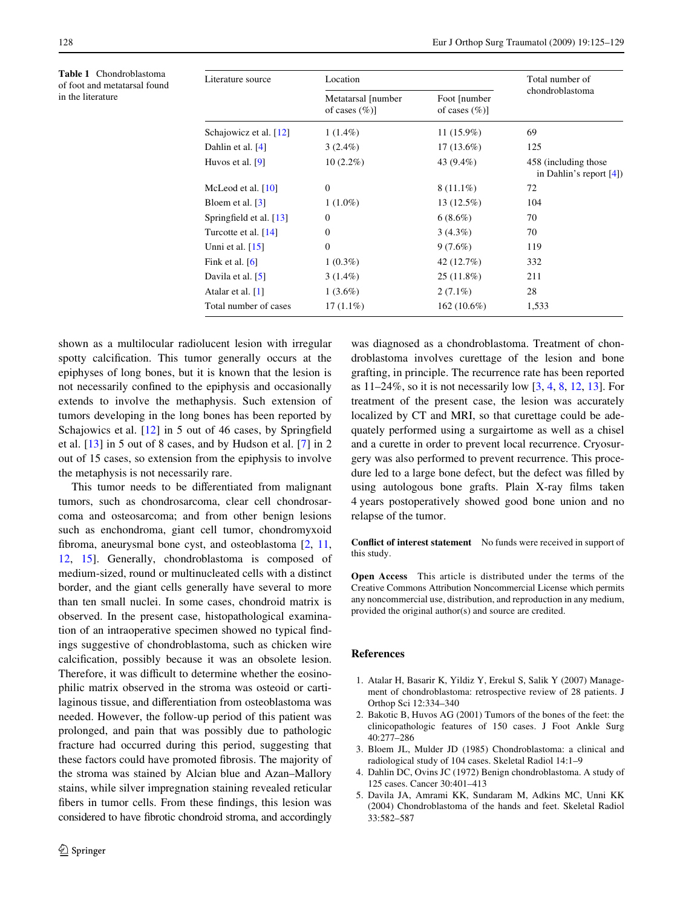<span id="page-3-0"></span>**Table 1** Chondroblastoma of foot and metatarsal found in the literature

| Literature source       | Location                              |                                  | Total number of                                     |
|-------------------------|---------------------------------------|----------------------------------|-----------------------------------------------------|
|                         | Metatarsal [number<br>of cases $(\%)$ | Foot [number]<br>of cases $(\%)$ | chondroblastoma                                     |
| Schajowicz et al. [12]  | $1(1.4\%)$                            | $11(15.9\%)$                     | 69                                                  |
| Dahlin et al. $[4]$     | $3(2.4\%)$                            | $17(13.6\%)$                     | 125                                                 |
| Huvos et al. $[9]$      | $10(2.2\%)$                           | 43 (9.4%)                        | 458 (including those)<br>in Dahlin's report $[4]$ ) |
| McLeod et al. $[10]$    | $\Omega$                              | $8(11.1\%)$                      | 72                                                  |
| Bloem et al. $[3]$      | $1(1.0\%)$                            | $13(12.5\%)$                     | 104                                                 |
| Springfield et al. [13] | $\theta$                              | $6(8.6\%)$                       | 70                                                  |
| Turcotte et al. $[14]$  | $\Omega$                              | $3(4.3\%)$                       | 70                                                  |
| Unni et al. $[15]$      | $\overline{0}$                        | 9(7.6%)                          | 119                                                 |
| Fink et al. $[6]$       | $1(0.3\%)$                            | 42 (12.7%)                       | 332                                                 |
| Davila et al. $[5]$     | $3(1.4\%)$                            | $25(11.8\%)$                     | 211                                                 |
| Atalar et al. [1]       | $1(3.6\%)$                            | $2(7.1\%)$                       | 28                                                  |
| Total number of cases   | $17(1.1\%)$                           | $162(10.6\%)$                    | 1,533                                               |

shown as a multilocular radiolucent lesion with irregular spotty calcification. This tumor generally occurs at the epiphyses of long bones, but it is known that the lesion is not necessarily confined to the epiphysis and occasionally extends to involve the methaphysis. Such extension of tumors developing in the long bones has been reported by Schajowics et al.  $[12]$  $[12]$  in 5 out of 46 cases, by Springfield et al. [[13\]](#page-4-6) in 5 out of 8 cases, and by Hudson et al. [\[7](#page-4-7)] in 2 out of 15 cases, so extension from the epiphysis to involve the metaphysis is not necessarily rare.

This tumor needs to be differentiated from malignant tumors, such as chondrosarcoma, clear cell chondrosarcoma and osteosarcoma; and from other benign lesions such as enchondroma, giant cell tumor, chondromyxoid fibroma, aneurysmal bone cyst, and osteoblastoma  $[2, 11, 1]$  $[2, 11, 1]$  $[2, 11, 1]$  $[2, 11, 1]$  $[2, 11, 1]$ [12](#page-4-5), [15\]](#page-4-1). Generally, chondroblastoma is composed of medium-sized, round or multinucleated cells with a distinct border, and the giant cells generally have several to more than ten small nuclei. In some cases, chondroid matrix is observed. In the present case, histopathological examination of an intraoperative specimen showed no typical findings suggestive of chondroblastoma, such as chicken wire calcification, possibly because it was an obsolete lesion. Therefore, it was difficult to determine whether the eosinophilic matrix observed in the stroma was osteoid or cartilaginous tissue, and differentiation from osteoblastoma was needed. However, the follow-up period of this patient was prolonged, and pain that was possibly due to pathologic fracture had occurred during this period, suggesting that these factors could have promoted fibrosis. The majority of the stroma was stained by Alcian blue and Azan–Mallory stains, while silver impregnation staining revealed reticular fibers in tumor cells. From these findings, this lesion was considered to have fibrotic chondroid stroma, and accordingly was diagnosed as a chondroblastoma. Treatment of chondroblastoma involves curettage of the lesion and bone grafting, in principle. The recurrence rate has been reported as 11–24%, so it is not necessarily low [\[3](#page-3-1), [4](#page-3-2), [8,](#page-4-3) [12,](#page-4-5) [13\]](#page-4-6). For treatment of the present case, the lesion was accurately localized by CT and MRI, so that curettage could be adequately performed using a surgairtome as well as a chisel and a curette in order to prevent local recurrence. Cryosurgery was also performed to prevent recurrence. This procedure led to a large bone defect, but the defect was filled by using autologous bone grafts. Plain X-ray films taken 4 years postoperatively showed good bone union and no relapse of the tumor.

**Conflict of interest statement** No funds were received in support of this study.

**Open Access** This article is distributed under the terms of the Creative Commons Attribution Noncommercial License which permits any noncommercial use, distribution, and reproduction in any medium, provided the original author(s) and source are credited.

### **References**

- <span id="page-3-4"></span>1. Atalar H, Basarir K, Yildiz Y, Erekul S, Salik Y (2007) Management of chondroblastoma: retrospective review of 28 patients. J Orthop Sci 12:334–340
- <span id="page-3-5"></span>2. Bakotic B, Huvos AG (2001) Tumors of the bones of the feet: the clinicopathologic features of 150 cases. J Foot Ankle Surg 40:277–286
- <span id="page-3-1"></span>3. Bloem JL, Mulder JD (1985) Chondroblastoma: a clinical and radiological study of 104 cases. Skeletal Radiol 14:1–9
- <span id="page-3-2"></span>4. Dahlin DC, Ovins JC (1972) Benign chondroblastoma. A study of 125 cases. Cancer 30:401–413
- <span id="page-3-3"></span>5. Davila JA, Amrami KK, Sundaram M, Adkins MC, Unni KK (2004) Chondroblastoma of the hands and feet. Skeletal Radiol 33:582–587